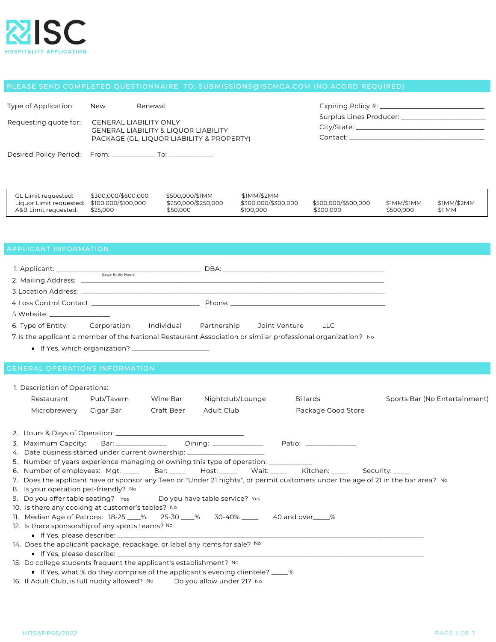

| Type of Application:  | <b>New</b> | Renewal                                                                                                                       | Expiring P                           |
|-----------------------|------------|-------------------------------------------------------------------------------------------------------------------------------|--------------------------------------|
| Requesting quote for: |            | <b>GENERAL LIABILITY ONLY</b><br><b>GENERAL LIABILITY &amp; LIOUOR LIABILITY</b><br>PACKAGE (GL, LIQUOR LIABILITY & PROPERTY) | Surplus Li<br>City/State<br>Contact: |

Desired Policy Period: From: \_\_\_\_\_\_\_\_\_\_\_\_\_\_ To: \_\_\_\_\_\_\_\_\_\_\_

| Surplus Lines Producer: ______________                                                                         |  |
|----------------------------------------------------------------------------------------------------------------|--|
|                                                                                                                |  |
| Contact: the contact of the contact of the contact of the contact of the contact of the contact of the contact |  |

| GL Limit requested:                         | \$300,000/\$600,000 | \$500,000/\$1MM     | \$1MM/\$2MM         |                     |             |             |
|---------------------------------------------|---------------------|---------------------|---------------------|---------------------|-------------|-------------|
| Liquor Limit requested: \$100,000/\$100,000 |                     | \$250,000/\$250,000 | \$300.000/\$300.000 | \$500,000/\$500,000 | \$1MM/\$1MM | \$1MM/\$2MM |
| A&B Limit requested:                        | \$25,000            | \$50.000            | \$100.000           | \$300,000           | \$500,000   | \$1 MM      |

| 2. Mailing Address: ______                                                                                                                                                                                                     |                                                                                |            |                                  |               |                                                                                                                                  |                               |
|--------------------------------------------------------------------------------------------------------------------------------------------------------------------------------------------------------------------------------|--------------------------------------------------------------------------------|------------|----------------------------------|---------------|----------------------------------------------------------------------------------------------------------------------------------|-------------------------------|
|                                                                                                                                                                                                                                |                                                                                |            |                                  |               |                                                                                                                                  |                               |
|                                                                                                                                                                                                                                |                                                                                |            |                                  |               |                                                                                                                                  |                               |
| 5. Website: the contract of the contract of the contract of the contract of the contract of the contract of the contract of the contract of the contract of the contract of the contract of the contract of the contract of th |                                                                                |            |                                  |               |                                                                                                                                  |                               |
| 6. Type of Entity: Corporation Individual Partnership                                                                                                                                                                          |                                                                                |            |                                  | Joint Venture | <b>LLC</b>                                                                                                                       |                               |
|                                                                                                                                                                                                                                |                                                                                |            |                                  |               | 7. Is the applicant a member of the National Restaurant Association or similar professional organization? No                     |                               |
|                                                                                                                                                                                                                                |                                                                                |            |                                  |               |                                                                                                                                  |                               |
|                                                                                                                                                                                                                                |                                                                                |            |                                  |               |                                                                                                                                  |                               |
| <b>GENERAL OPERATIONS INFORMATION</b>                                                                                                                                                                                          |                                                                                |            |                                  |               |                                                                                                                                  |                               |
|                                                                                                                                                                                                                                |                                                                                |            |                                  |               |                                                                                                                                  |                               |
| 1. Description of Operations:                                                                                                                                                                                                  |                                                                                |            |                                  |               |                                                                                                                                  |                               |
| Restaurant                                                                                                                                                                                                                     | Pub/Tavern                                                                     | Wine Bar   | Nightclub/Lounge                 |               | Billards                                                                                                                         | Sports Bar (No Entertainment) |
| Microbrewery                                                                                                                                                                                                                   | Cigar Bar                                                                      | Craft Beer | Adult Club                       |               | Package Good Store                                                                                                               |                               |
|                                                                                                                                                                                                                                |                                                                                |            |                                  |               |                                                                                                                                  |                               |
|                                                                                                                                                                                                                                |                                                                                |            |                                  |               |                                                                                                                                  |                               |
| 3. Maximum Capcity:                                                                                                                                                                                                            |                                                                                |            |                                  |               |                                                                                                                                  |                               |
| 4. Date business started under current ownership: ________________________                                                                                                                                                     |                                                                                |            |                                  |               |                                                                                                                                  |                               |
| 5. Number of years experience managing or owning this type of operation: ___________                                                                                                                                           |                                                                                |            |                                  |               | 6. Number of employees: Mgt: ______ Bar: _____ Host: _____ Wait: _____ Kitchen: _____ Security: _____                            |                               |
|                                                                                                                                                                                                                                |                                                                                |            |                                  |               | 7. Does the applicant have or sponsor any Teen or "Under 21 nights", or permit customers under the age of 21 in the bar area? No |                               |
| 8. Is your operation pet-friendly? No                                                                                                                                                                                          |                                                                                |            |                                  |               |                                                                                                                                  |                               |
| 9. Do you offer table seating? Yes Do you have table service? Yes                                                                                                                                                              |                                                                                |            |                                  |               |                                                                                                                                  |                               |
| 10. Is there any cooking at customer's tables? No                                                                                                                                                                              |                                                                                |            |                                  |               |                                                                                                                                  |                               |
| 11. Median Age of Patrons: 18-25 ____%                                                                                                                                                                                         |                                                                                |            | 25-30 48 30-40% 2000 40 and over |               |                                                                                                                                  |                               |
| 12. Is there sponsorship of any sports teams? No                                                                                                                                                                               |                                                                                |            |                                  |               |                                                                                                                                  |                               |
| 14. Does the applicant package, repackage, or label any items for sale? No                                                                                                                                                     | If Yes, please describe: __________                                            |            |                                  |               |                                                                                                                                  |                               |
|                                                                                                                                                                                                                                |                                                                                |            |                                  |               |                                                                                                                                  |                               |
| 15. Do college students frequent the applicant's establishment? No                                                                                                                                                             |                                                                                |            |                                  |               |                                                                                                                                  |                               |
|                                                                                                                                                                                                                                | ■ If Yes, what % do they comprise of the applicant's evening clientele? _____% |            |                                  |               |                                                                                                                                  |                               |
| 16. If Adult Club, is full nudity allowed? No                                                                                                                                                                                  |                                                                                |            | Do you allow under 21? No        |               |                                                                                                                                  |                               |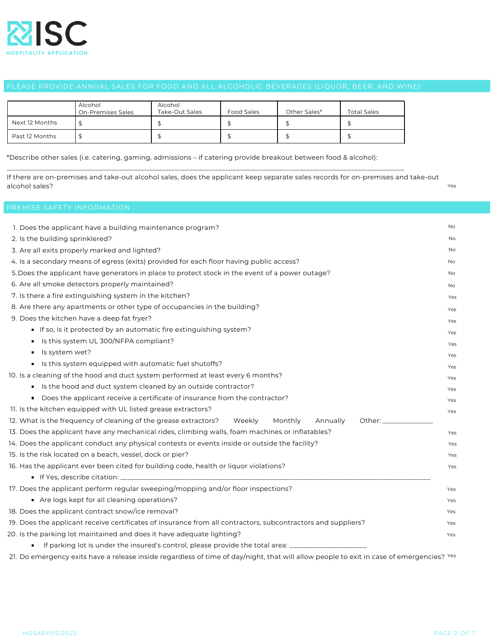

|                | Alcohol<br><b>On-Premises Sales</b> | Alcohol<br>Take-Out Sales | Food Sales | Other Sales* | Total Sales |
|----------------|-------------------------------------|---------------------------|------------|--------------|-------------|
| Next 12 Months |                                     |                           |            |              |             |
| Past 12 Months |                                     |                           |            |              |             |

\_\_\_\_\_\_\_\_\_\_\_\_\_\_\_\_\_\_\_\_\_\_\_\_\_\_\_\_\_\_\_\_\_\_\_\_\_\_\_\_\_\_\_\_\_\_\_\_\_\_\_\_\_\_\_\_\_\_\_\_\_\_\_\_\_\_\_\_\_\_\_\_\_\_\_\_\_\_\_\_\_\_\_\_\_\_\_\_\_\_\_\_\_\_\_\_\_\_\_\_\_\_\_\_\_\_\_\_\_\_\_\_\_\_\_\_\_\_

\*Describe other sales (i.e. catering, gaming, admissions – if catering provide breakout between food & alcohol):

If there are on-premises and take-out alcohol sales, does the applicant keep separate sales records for on-premises and take-out alcohol sales?

# No<br>No 1. Does the applicant have a building maintenance program? 2. Is the building sprinklered? No 3. Are all exits properly marked and lighted? 4. Is a secondary means of egress (exits) provided for each floor having public access? No Does the applicant have generators in place to protect stock in the event of a power outage? 5. No 6. Are all smoke detectors properly maintained? No 7. Is there a fire extinguishing system in the kitchen? Yes Are there any apartments or other type of occupancies in the building? 8. Yes Does the kitchen have a deep fat fryer? 9. Yes If so, is it protected by an automatic fire extinguishing system? Yes Is this system UL 300/NFPA compliant? Yes I Is system wet? Yes If Is this system equipped with automatic fuel shutoffs? Yes 10. Is a cleaning of the hood and duct system performed at least every 6 months? Yes Is the hood and duct system cleaned by an outside contractor? Yes  $\blacksquare$ Does the applicant receive a certificate of insurance from the contractor? Yes 11. Is the kitchen equipped with UL listed grease extractors? Yes 12. What is the frequency of cleaning of the grease extractors? Weekly Monthly Annually Other: \_\_\_\_\_\_\_\_\_\_\_\_\_ 13. Does the applicant have any mechanical rides, climbing walls, foam machines or inflatables? Yes 14. Does the applicant conduct any physical contests or events inside or outside the facility? Yes 15. Is the risk located on a beach, vessel, dock or pier? Yes 16. Has the applicant ever been cited for building code, health or liquor violations? Yes **If Yes, describe citation:** 17. Does the applicant perform regular sweeping/mopping and/or floor inspections? Yes Are logs kept for all cleaning operations? Yes 18. Does the applicant contract snow/ice removal? Yes 19. Does the applicant receive certificates of insurance from all contractors, subcontractors and suppliers? Yes 20. Is the parking lot maintained and does it have adequate lighting? Yes If parking lot is under the insured's control, please provide the total area:  $\overline{\phantom{a}}$

21. Do emergency exits have a release inside regardless of time of day/night, that will allow people to exit in case of emergencies? <sup>Yes</sup>

Yes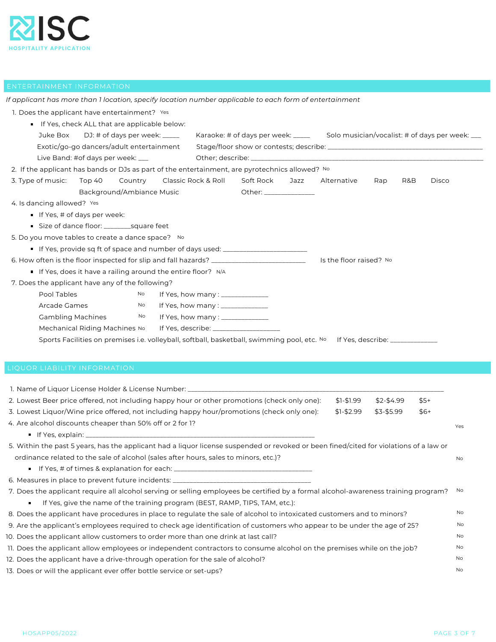

1. Does the applicant have entertainment? <sup>Yes</sup> If Yes, check ALL that are applicable below: If Yes, # of days per week: Size of dance floor: \_\_\_\_\_\_\_\_square feet If Yes, provide sq ft of space and number of days used:  $\frac{1}{2}$ If Yes, does it have a railing around the entire floor? N/A Juke Box DJ: # of days per week: \_\_\_\_\_ Karaoke: # of days per week: \_\_\_\_ Solo musician/vocalist: # of days per week: \_\_ Exotic/go-go dancers/adult entertainment Stage/floor show or contests; describe: \_ Live Band: #of days per week: \_\_\_\_ Other; describe: \_ 2. If the applicant has bands or DJs as part of the entertainment, are pyrotechnics allowed? No 3. Type of music: Top 40 Country Classic Rock & Roll Soft Rock Jazz Alternative Rap R&B Disco Background/Ambiance Music **Communication** Other: \_\_\_\_\_\_\_\_\_\_\_\_\_\_\_\_\_\_\_\_\_\_\_\_\_\_\_\_\_\_\_\_\_ 4. Is dancing allowed? Yes 5. Do you move tables to create a dance space? No 6. How often is the floor inspected for slip and fall hazards?  $\_$  7. Does the applicant have any of the following? Pool Tables If Yes, how many : \_\_\_\_\_\_\_\_\_\_\_\_\_\_ Arcade Games If Yes, how many : \_\_\_\_\_\_\_\_\_\_\_\_\_\_ Gambling Machines If Yes, how many : \_\_\_\_\_\_\_\_\_\_\_\_\_\_ Mechanical Riding Machines No If Yes, describe: \_\_\_\_ Sports Facilities on premises i.e. volleyball, softball, basketball, swimming pool, etc. No If Yes, describe: \_\_ *If applicant has more than 1 location, specify location number applicable to each form of entertainment* Name of Liquor License Holder & License Number: \_\_\_\_\_\_\_\_\_\_\_\_\_\_\_\_\_\_\_\_\_\_\_\_\_\_\_\_\_\_\_\_\_\_\_\_\_\_\_\_\_\_\_\_\_\_\_\_\_\_\_\_\_\_\_\_\_\_\_\_\_\_\_\_\_\_\_\_\_\_\_\_\_\_\_\_ 1. 2. Lowest Beer price offered, not including happy hour or other promotions (check only one): \$1-\$1.99 \$2-\$4.99 \$5+ Is the floor raised? No No<sub>1</sub> No NoNo

| 3. Lowest Liquor/Wine price offered, not including happy hour/promotions (check only one): | \$1-\$2.99 \$3-\$5.99 | - \$6+ |
|--------------------------------------------------------------------------------------------|-----------------------|--------|
| 4. Are alcohol discounts cheaper than 50% off or 2 for 1?                                  |                       |        |

|                                                                                                                                        | Yes       |
|----------------------------------------------------------------------------------------------------------------------------------------|-----------|
|                                                                                                                                        |           |
| 5. Within the past 5 years, has the applicant had a liquor license suspended or revoked or been fined/cited for violations of a law or |           |
| ordinance related to the sale of alcohol (sales after hours, sales to minors, etc.)?                                                   | No.       |
| ■ If Yes, # of times & explanation for each: __________________________________                                                        |           |
| 6. Measures in place to prevent future incidents: ______________________________                                                       |           |
| 7. Does the applicant require all alcohol serving or selling employees be certified by a formal alcohol-awareness training program? No |           |
| <b>If Yes, give the name of the training program (BEST, RAMP, TIPS, TAM, etc.):</b>                                                    |           |
| 8. Does the applicant have procedures in place to regulate the sale of alcohol to intoxicated customers and to minors?                 | <b>No</b> |
| 9. Are the applicant's employees required to check age identification of customers who appear to be under the age of 25?               | <b>No</b> |
| 0. Does the applicant allow customers to order more than one drink at last call?                                                       | No        |
| <sup>11</sup> Does the applicant allow employees or independent contractors to consume alcohol on the premises while on the job?       | No        |

- Are the applicant's employees required to check age identification of customers who appear to be under the age of 25? 9. N<sub>o</sub>
- 10. Does the applicant allow customers to order more than one drink at last call?
- 11. Does the applicant allow employees or independent contractors to consume alcohol on the premises while on the job?
- 12. Does the applicant have a drive-through operation for the sale of alcohol?
- 13. Does or will the applicant ever offer bottle service or set-ups?

Yes

No No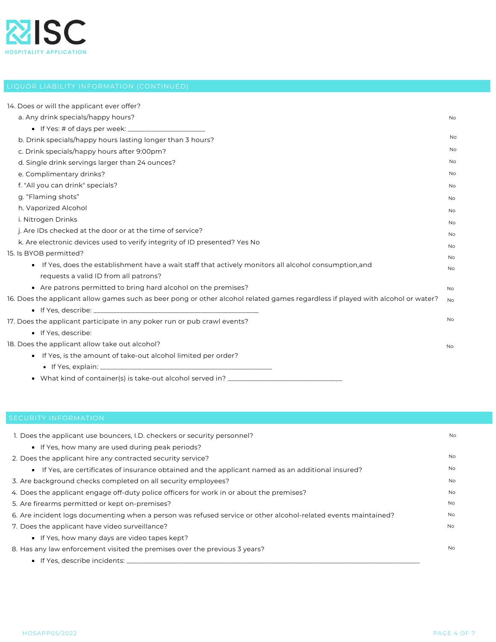

| 14. Does or will the applicant ever offer?                                                                                      |           |
|---------------------------------------------------------------------------------------------------------------------------------|-----------|
| a. Any drink specials/happy hours?                                                                                              | No        |
|                                                                                                                                 |           |
| b. Drink specials/happy hours lasting longer than 3 hours?                                                                      | No        |
| c. Drink specials/happy hours after 9:00pm?                                                                                     | No        |
| d. Single drink servings larger than 24 ounces?                                                                                 | No        |
| e. Complimentary drinks?                                                                                                        | No        |
| f. "All you can drink" specials?                                                                                                | <b>No</b> |
| g. "Flaming shots"                                                                                                              | No        |
| h. Vaporized Alcohol                                                                                                            | No        |
| i. Nitrogen Drinks                                                                                                              | No        |
| j. Are IDs checked at the door or at the time of service?                                                                       | No        |
| k. Are electronic devices used to verify integrity of ID presented? Yes No                                                      | No        |
| 15. Is BYOB permitted?                                                                                                          | No        |
| If Yes, does the establishment have a wait staff that actively monitors all alcohol consumption, and                            | No        |
| requests a valid ID from all patrons?                                                                                           |           |
| Are patrons permitted to bring hard alcohol on the premises?                                                                    | No        |
| 16. Does the applicant allow games such as beer pong or other alcohol related games regardless if played with alcohol or water? | <b>No</b> |
|                                                                                                                                 |           |
| 17. Does the applicant participate in any poker run or pub crawl events?                                                        | No        |
| If Yes, describe:                                                                                                               |           |
| 18. Does the applicant allow take out alcohol?                                                                                  | No        |
| If Yes, is the amount of take-out alcohol limited per order?                                                                    |           |
|                                                                                                                                 |           |
|                                                                                                                                 |           |
|                                                                                                                                 |           |
|                                                                                                                                 |           |
| <b>SECURITY INFORMATION</b>                                                                                                     |           |
| 1. Does the applicant use bouncers. I.D. checkers or security personnel?                                                        | No        |

| 1. Does the applicant use bouncers, I.D. checkers or security personnel?                                       | <b>No</b> |
|----------------------------------------------------------------------------------------------------------------|-----------|
| ■ If Yes, how many are used during peak periods?                                                               |           |
| 2. Does the applicant hire any contracted security service?                                                    | <b>No</b> |
| If Yes, are certificates of insurance obtained and the applicant named as an additional insured?               | <b>No</b> |
| 3. Are background checks completed on all security employees?                                                  | No.       |
| 4. Does the applicant engage off-duty police officers for work in or about the premises?                       | <b>No</b> |
| 5. Are firearms permitted or kept on-premises?                                                                 | <b>No</b> |
| 6. Are incident logs documenting when a person was refused service or other alcohol-related events maintained? | <b>No</b> |
| 7. Does the applicant have video surveillance?                                                                 | No.       |
| If Yes, how many days are video tapes kept?                                                                    |           |
| 8. Has any law enforcement visited the premises over the previous 3 years?                                     | <b>No</b> |
| If Yes, describe incidents:                                                                                    |           |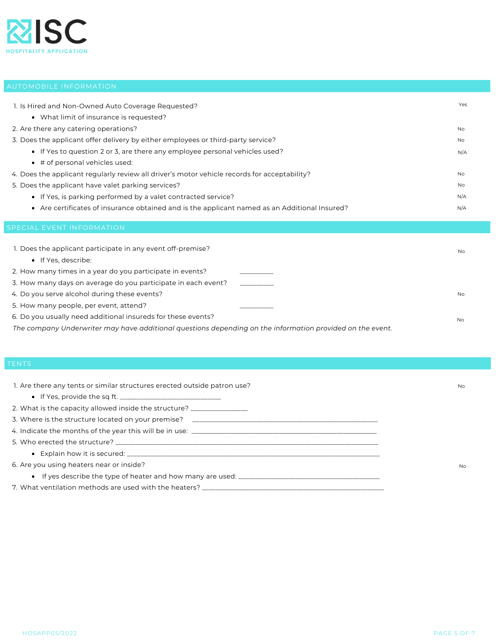

| 1. Is Hired and Non-Owned Auto Coverage Requested?                                            | Yes       |
|-----------------------------------------------------------------------------------------------|-----------|
| • What limit of insurance is requested?                                                       |           |
| 2. Are there any catering operations?                                                         | <b>No</b> |
| 3. Does the applicant offer delivery by either employees or third-party service?              | <b>No</b> |
| • If Yes to question 2 or 3, are there any employee personal vehicles used?                   | N/A       |
| $\blacksquare$ # of personal vehicles used:                                                   |           |
| 4. Does the applicant regularly review all driver's motor vehicle records for acceptability?  | <b>No</b> |
| 5. Does the applicant have valet parking services?                                            | <b>No</b> |
| <b>If Yes, is parking performed by a valet contracted service?</b>                            | N/A       |
| ■ Are certificates of insurance obtained and is the applicant named as an Additional Insured? | N/A       |
|                                                                                               |           |

| 1. Does the applicant participate in any event off-premise?                                               | <b>No</b> |
|-----------------------------------------------------------------------------------------------------------|-----------|
| ■ If Yes. describe:                                                                                       |           |
| 2. How many times in a year do you participate in events?                                                 |           |
| 3. How many days on average do you participate in each event?                                             |           |
| 4. Do you serve alcohol during these events?                                                              | No        |
| 5. How many people, per event, attend?                                                                    |           |
| 6. Do you usually need additional insureds for these events?                                              | <b>No</b> |
| The company Underwriter may have additional questions depending on the information provided on the event. |           |

| o. Do you doddify ficed ddditional inodicab for these events.                                             | No. |
|-----------------------------------------------------------------------------------------------------------|-----|
| The company Underwriter may have additional questions depending on the information provided on the event. |     |
|                                                                                                           |     |
|                                                                                                           |     |
| <b>ENTS</b>                                                                                               |     |
|                                                                                                           |     |
| 1. Are there any tents or similar structures erected outside patron use?                                  | No  |
|                                                                                                           |     |
| 2. What is the capacity allowed inside the structure? __________________                                  |     |
|                                                                                                           |     |
|                                                                                                           |     |
|                                                                                                           |     |
|                                                                                                           |     |
| 6. Are you using heaters near or inside?                                                                  | No  |
|                                                                                                           |     |
|                                                                                                           |     |
|                                                                                                           |     |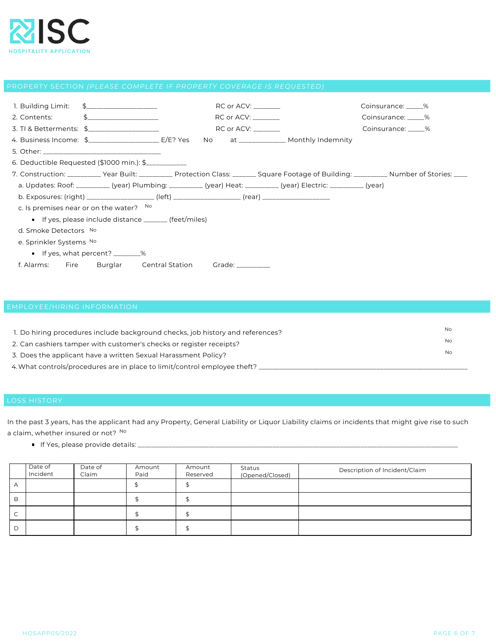

|                         | 1. Building Limit: $\frac{2}{3}$ 5. The summary set of the set of the set of the set of the set of the set of the set of the set of the set of the set of the set of the set of the set of the set of the set of the set of the s | RC or ACV: _______ |  | Coinsurance: _____% |  |
|-------------------------|-----------------------------------------------------------------------------------------------------------------------------------------------------------------------------------------------------------------------------------|--------------------|--|---------------------|--|
| 2. Contents:            | $\mathsf{\$}$                                                                                                                                                                                                                     | RC or ACV: _______ |  | Coinsurance: _____% |  |
|                         | 3. TI & Betterments: \$____________________                                                                                                                                                                                       | RC or ACV: ____    |  | Coinsurance: %      |  |
|                         | 4. Business Income: \$___________________________E/E? Yes ____No dt ______________ Monthly Indemnity                                                                                                                              |                    |  |                     |  |
|                         | 5. Other: the contract of the contract of the contract of the contract of the contract of the contract of the contract of the contract of the contract of the contract of the contract of the contract of the contract of the     |                    |  |                     |  |
|                         | 6. Deductible Requested (\$1000 min.): $\frac{6}{2}$                                                                                                                                                                              |                    |  |                     |  |
|                         | 7. Construction: _________ Year Built: _________ Protection Class: ______ Square Footage of Building: ________ Number of Stories: ____                                                                                            |                    |  |                     |  |
|                         | a. Updates: Roof: _________ (year) Plumbing: _________ (year) Heat: _________ (year) Electric: _________ (year)                                                                                                                   |                    |  |                     |  |
|                         | b. Exposures: (right) ___________________(left) _____________________(rear) _______________________                                                                                                                               |                    |  |                     |  |
|                         | c. Is premises near or on the water? No                                                                                                                                                                                           |                    |  |                     |  |
|                         | $\blacksquare$ If yes, please include distance _______ (feet/miles)                                                                                                                                                               |                    |  |                     |  |
| d. Smoke Detectors No   |                                                                                                                                                                                                                                   |                    |  |                     |  |
| e. Sprinkler Systems No |                                                                                                                                                                                                                                   |                    |  |                     |  |
|                         | ■ If yes, what percent? ________%                                                                                                                                                                                                 |                    |  |                     |  |
|                         | f. Alarms: Fire Burglar Central Station Grade: _________                                                                                                                                                                          |                    |  |                     |  |
|                         |                                                                                                                                                                                                                                   |                    |  |                     |  |

| 1. Do hiring procedures include background checks, job history and references? | . No |
|--------------------------------------------------------------------------------|------|
| 2. Can cashiers tamper with customer's checks or register receipts?            | No   |
| 3. Does the applicant have a written Sexual Harassment Policy?                 | No   |
| 4. What controls/procedures are in place to limit/control employee theft?      |      |

In the past 3 years, has the applicant had any Property, General Liability or Liquor Liability claims or incidents that might give rise to such a claim, whether insured or not? <sup>No</sup>

If Yes, please provide details: \_\_\_\_\_\_\_

|             | Date of<br>Incident | Date of<br>Claim | Amount<br>Paid | Amount<br>Reserved | Status<br>(Opened/Closed) | Description of Incident/Claim |
|-------------|---------------------|------------------|----------------|--------------------|---------------------------|-------------------------------|
| А           |                     |                  |                |                    |                           |                               |
| B           |                     |                  | Æ              |                    |                           |                               |
| $\sim$<br>J |                     |                  | đ<br>æ         | \$                 |                           |                               |
| D           |                     |                  |                |                    |                           |                               |